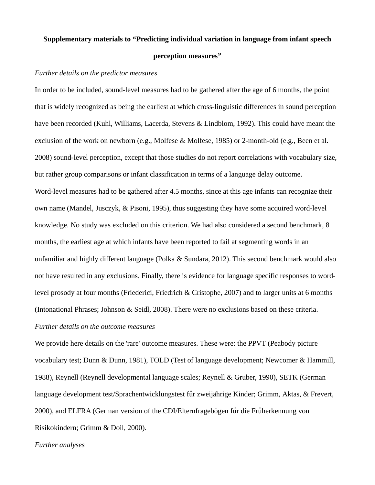## **Supplementary materials to "Predicting individual variation in language from infant speech perception measures"**

## *Further details on the predictor measures*

In order to be included, sound-level measures had to be gathered after the age of 6 months, the point that is widely recognized as being the earliest at which cross-linguistic differences in sound perception have been recorded (Kuhl, Williams, Lacerda, Stevens & Lindblom, 1992). This could have meant the exclusion of the work on newborn (e.g., Molfese & Molfese, 1985) or 2-month-old (e.g., Been et al. 2008) sound-level perception, except that those studies do not report correlations with vocabulary size, but rather group comparisons or infant classification in terms of a language delay outcome. Word-level measures had to be gathered after 4.5 months, since at this age infants can recognize their own name (Mandel, Jusczyk, & Pisoni, 1995), thus suggesting they have some acquired word-level knowledge. No study was excluded on this criterion. We had also considered a second benchmark, 8 months, the earliest age at which infants have been reported to fail at segmenting words in an unfamiliar and highly different language (Polka & Sundara, 2012). This second benchmark would also not have resulted in any exclusions. Finally, there is evidence for language specific responses to wordlevel prosody at four months (Friederici, Friedrich & Cristophe, 2007) and to larger units at 6 months (Intonational Phrases; Johnson & Seidl, 2008). There were no exclusions based on these criteria. *Further details on the outcome measures*

We provide here details on the 'rare' outcome measures. These were: the PPVT (Peabody picture vocabulary test; Dunn & Dunn, 1981), TOLD (Test of language development; Newcomer & Hammill, 1988), Reynell (Reynell developmental language scales; Reynell & Gruber, 1990), SETK (German language development test/Sprachentwicklungstest für zweijährige Kinder; Grimm, Aktas, & Frevert, 2000), and ELFRA (German version of the CDI/Elternfragebögen für die Früherkennung von Risikokindern; Grimm & Doil, 2000).

## *Further analyses*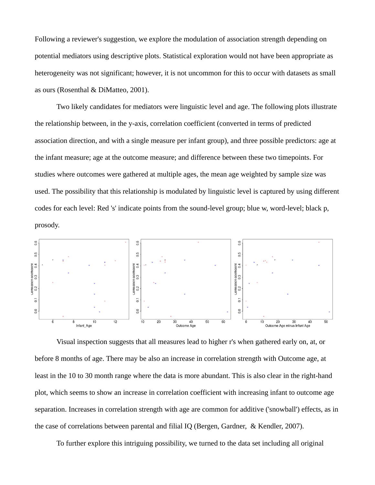Following a reviewer's suggestion, we explore the modulation of association strength depending on potential mediators using descriptive plots. Statistical exploration would not have been appropriate as heterogeneity was not significant; however, it is not uncommon for this to occur with datasets as small as ours (Rosenthal & DiMatteo, 2001).

Two likely candidates for mediators were linguistic level and age. The following plots illustrate the relationship between, in the y-axis, correlation coefficient (converted in terms of predicted association direction, and with a single measure per infant group), and three possible predictors: age at the infant measure; age at the outcome measure; and difference between these two timepoints. For studies where outcomes were gathered at multiple ages, the mean age weighted by sample size was used. The possibility that this relationship is modulated by linguistic level is captured by using different codes for each level: Red 's' indicate points from the sound-level group; blue w, word-level; black p, prosody.



Visual inspection suggests that all measures lead to higher r's when gathered early on, at, or before 8 months of age. There may be also an increase in correlation strength with Outcome age, at least in the 10 to 30 month range where the data is more abundant. This is also clear in the right-hand plot, which seems to show an increase in correlation coefficient with increasing infant to outcome age separation. Increases in correlation strength with age are common for additive ('snowball') effects, as in the case of correlations between parental and filial IQ (Bergen, Gardner, & Kendler, 2007).

To further explore this intriguing possibility, we turned to the data set including all original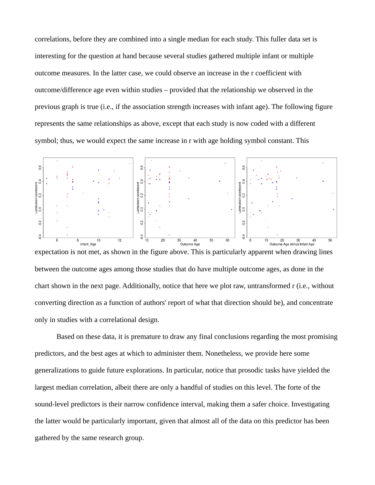correlations, before they are combined into a single median for each study. This fuller data set is interesting for the question at hand because several studies gathered multiple infant or multiple outcome measures. In the latter case, we could observe an increase in the r coefficient with outcome/difference age even within studies – provided that the relationship we observed in the previous graph is true (i.e., if the association strength increases with infant age). The following figure represents the same relationships as above, except that each study is now coded with a different symbol; thus, we would expect the same increase in r with age holding symbol constant. This



expectation is not met, as shown in the figure above. This is particularly apparent when drawing lines between the outcome ages among those studies that do have multiple outcome ages, as done in the chart shown in the next page. Additionally, notice that here we plot raw, untransformed r (i.e., without converting direction as a function of authors' report of what that direction should be), and concentrate only in studies with a correlational design.

Based on these data, it is premature to draw any final conclusions regarding the most promising predictors, and the best ages at which to administer them. Nonetheless, we provide here some generalizations to guide future explorations. In particular, notice that prosodic tasks have yielded the largest median correlation, albeit there are only a handful of studies on this level. The forte of the sound-level predictors is their narrow confidence interval, making them a safer choice. Investigating the latter would be particularly important, given that almost all of the data on this predictor has been gathered by the same research group.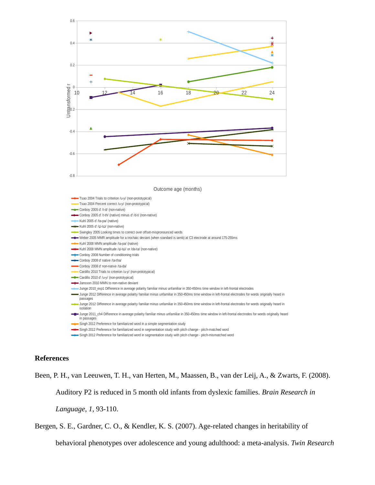

Outcome age (months)



## **References**

Been, P. H., van Leeuwen, T. H., van Herten, M., Maassen, B., van der Leij, A., & Zwarts, F. (2008). Auditory P2 is reduced in 5 month old infants from dyslexic families. *Brain Research in Language, 1*, 93-110.

Bergen, S. E., Gardner, C. O., & Kendler, K. S. (2007). Age-related changes in heritability of

behavioral phenotypes over adolescence and young adulthood: a meta-analysis. *Twin Research*